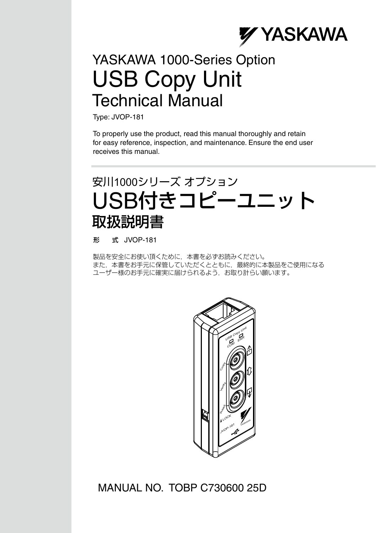

### USB Copy Unit YASKAWA 1000-Series Option Technical Manual

Type: JVOP-181

To properly use the product, read this manual thoroughly and retain for easy reference, inspection, and maintenance. Ensure the end user receives this manual.

### USB付きコピーユニット 安川1000シリーズ オプション 取扱説明書

形 式 JVOP-181

製品を安全にお使い頂くために,本書を必ずお読みください。 また,本書をお手元に保管していただくとともに,最終的に本製品をご使用になる ユーザー様のお手元に確実に届けられるよう,お取り計らい願います。



### MANUAL NO. TOBP C730600 25D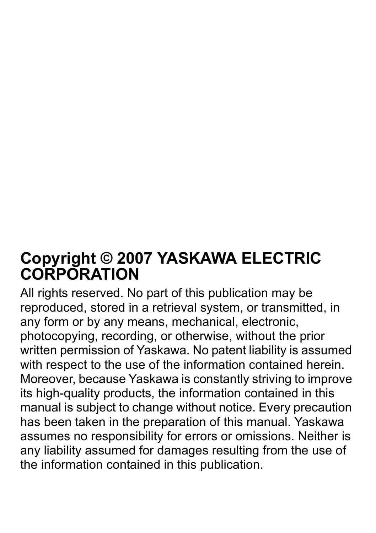### **Copyright © 2007 YASKAWA ELECTRIC CORPORATION**

All rights reserved. No part of this publication may be reproduced, stored in a retrieval system, or transmitted, in any form or by any means, mechanical, electronic, photocopying, recording, or otherwise, without the prior written permission of Yaskawa. No patent liability is assumed with respect to the use of the information contained herein. Moreover, because Yaskawa is constantly striving to improve its high-quality products, the information contained in this manual is subject to change without notice. Every precaution has been taken in the preparation of this manual. Yaskawa assumes no responsibility for errors or omissions. Neither is any liability assumed for damages resulting from the use of the information contained in this publication.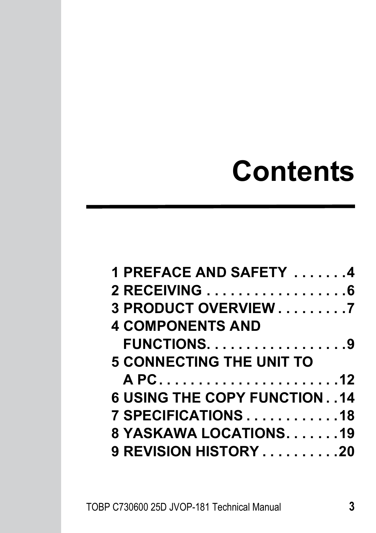# **Contents**

| 1 PREFACE AND SAFETY 4                              |
|-----------------------------------------------------|
| 2 RECEIVING 6                                       |
| 3 PRODUCT OVERVIEW 7                                |
| <b>4 COMPONENTS AND</b>                             |
| <b>FUNCTIONS9</b>                                   |
| <b>5 CONNECTING THE UNIT TO</b>                     |
|                                                     |
| <b>6 USING THE COPY FUNCTION. .14</b>               |
| $7$ SPECIFICATIONS $\ldots \ldots \ldots \ldots$ 18 |
| 8 YASKAWA LOCATIONS. 19                             |
| 9 REVISION HISTORY 20                               |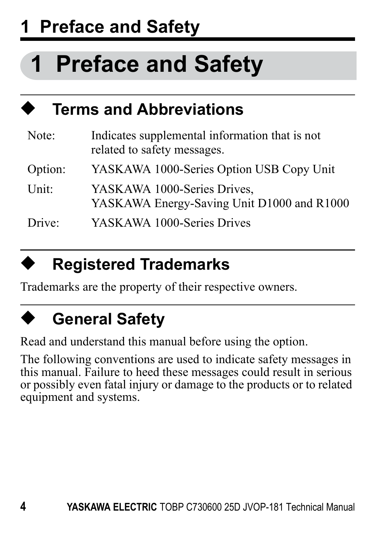## **1 Preface and Safety**

# <span id="page-3-0"></span>**1 Preface and Safety**

| ♠<br><b>Terms and Abbreviations</b> |                                                                               |  |  |
|-------------------------------------|-------------------------------------------------------------------------------|--|--|
| Note:                               | Indicates supplemental information that is not<br>related to safety messages. |  |  |
| Option:                             | YASKAWA 1000-Series Option USB Copy Unit                                      |  |  |
| Unit:                               | YASKAWA 1000-Series Drives,<br>YASKAWA Energy-Saving Unit D1000 and R1000     |  |  |
| Drive:                              | YASKAWA 1000-Series Drives                                                    |  |  |

### ◆ **Registered Trademarks**

Trademarks are the property of their respective owners.

## **General Safety**

Read and understand this manual before using the option.

The following conventions are used to indicate safety messages in this manual. Failure to heed these messages could result in serious or possibly even fatal injury or damage to the products or to related equipment and systems.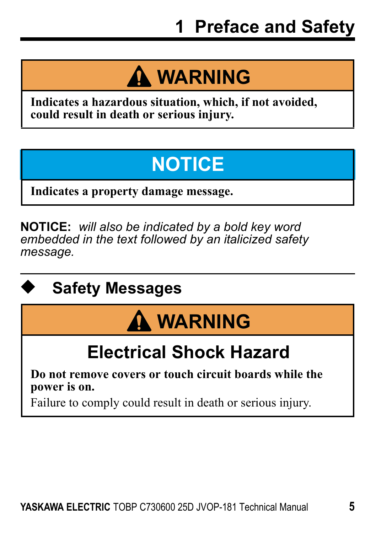# **A WARNING**

**Indicates a hazardous situation, which, if not avoided, could result in death or serious injury.**

## **NOTICE**

**Indicates a property damage message.**

**NOTICE:** *will also be indicated by a bold key word embedded in the text followed by an italicized safety message.*

## **Safety Messages**

# **WARNING**

## **Electrical Shock Hazard**

**Do not remove covers or touch circuit boards while the power is on.**

Failure to comply could result in death or serious injury.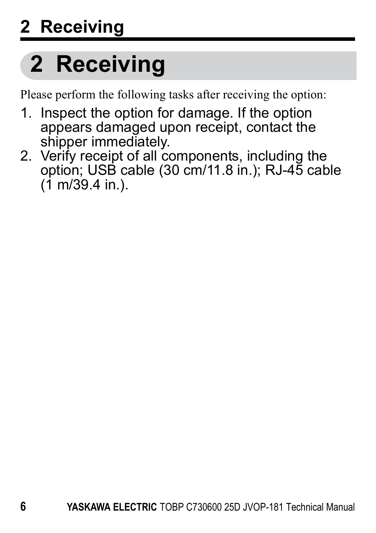# <span id="page-5-0"></span>**2 Receiving**

Please perform the following tasks after receiving the option:

- 1. Inspect the option for damage. If the option appears damaged upon receipt, contact the shipper immediately.
- 2. Verify receipt of all components, including the option; USB cable (30 cm/11.8 in.); RJ-45 cable  $(1 \text{ m}/39.4 \text{ in}.)$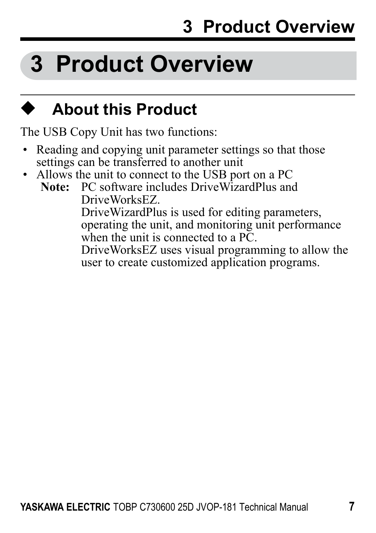# <span id="page-6-0"></span>**3 Product Overview**

### ◆ **About this Product**

The USB Copy Unit has two functions:

- Reading and copying unit parameter settings so that those settings can be transferred to another unit
- Allows the unit to connect to the USB port on a PC<br>Note: PC software includes Drive WizardPlus and

**Note:** PC software includes DriveWizardPlus and DriveWorksEZ. DriveWizardPlus is used for editing parameters, operating the unit, and monitoring unit performance when the unit is connected to a PC. DriveWorksEZ uses visual programming to allow the user to create customized application programs.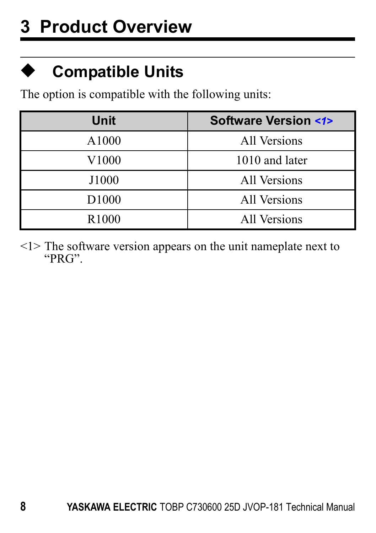### ◆ **Compatible Units**

The option is compatible with the following units:

<span id="page-7-0"></span>

| Unit              | <b>Software Version &lt;1&gt;</b> |
|-------------------|-----------------------------------|
| A1000             | All Versions                      |
| V1000             | 1010 and later                    |
| J1000             | All Versions                      |
| D <sub>1000</sub> | All Versions                      |
| R <sub>1000</sub> | All Versions                      |

<1> The software version appears on the unit nameplate next to "PRG".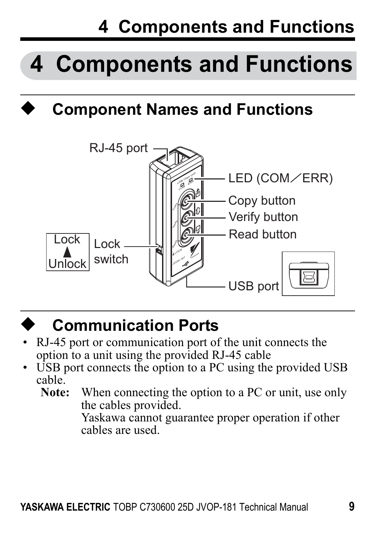## **4 Components and Functions**

# <span id="page-8-0"></span>**4 Components and Functions**

## **Component Names and Functions**





### **Communication Ports**

- RJ-45 port or communication port of the unit connects the option to a unit using the provided RJ-45 cable
- USB port connects the option to a PC using the provided USB cable.<br>Note:
	- When connecting the option to a PC or unit, use only the cables provided.

Yaskawa cannot guarantee proper operation if other cables are used.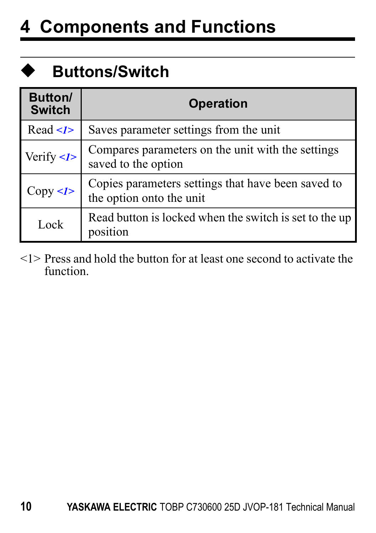## **4 Components and Functions**

## ◆ **Buttons/Switch**

<span id="page-9-0"></span>

| Button/<br><b>Switch</b>   | Operation                                                                      |  |
|----------------------------|--------------------------------------------------------------------------------|--|
| Read < l                   | Saves parameter settings from the unit                                         |  |
| Verify $\langle I \rangle$ | Compares parameters on the unit with the settings<br>saved to the option       |  |
| Copy < I>                  | Copies parameters settings that have been saved to<br>the option onto the unit |  |
| Lock                       | Read button is locked when the switch is set to the up<br>position             |  |

<1> Press and hold the button for at least one second to activate the function.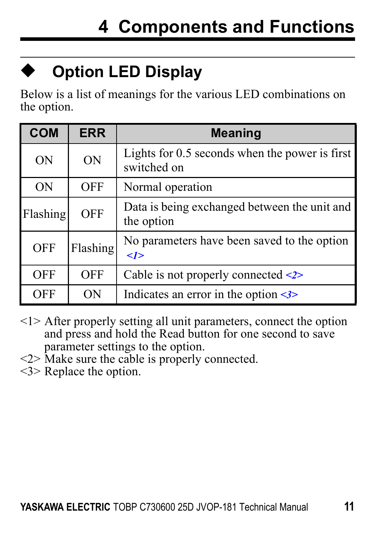

## **Option LED Display**

Below is a list of meanings for the various LED combinations on the option.

<span id="page-10-0"></span>

| <b>COM</b> | <b>ERR</b> | <b>Meaning</b>                                                |
|------------|------------|---------------------------------------------------------------|
| ON         | ON         | Lights for 0.5 seconds when the power is first<br>switched on |
| ON         | <b>OFF</b> | Normal operation                                              |
| Flashing   | <b>OFF</b> | Data is being exchanged between the unit and<br>the option    |
| OFF        | Flashing   | No parameters have been saved to the option<br>$\langle$ 1>   |
| OFF        | <b>OFF</b> | Cable is not properly connected $\leq 2$                      |
| OFF        | OΝ         | Indicates an error in the option $\leq$                       |

- <1> After properly setting all unit parameters, connect the option and press and hold the Read button for one second to save parameter settings to the option.
- <2> Make sure the cable is properly connected.
- <3> Replace the option.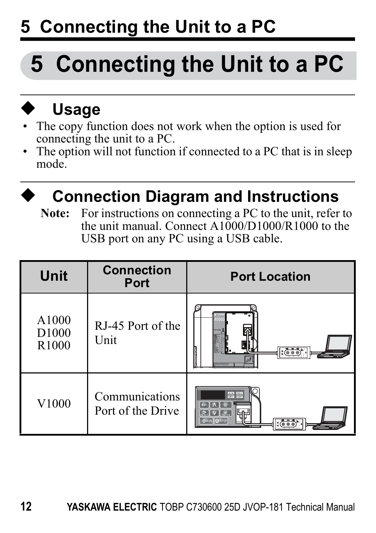# **5 Connecting the Unit to a PC**

# <span id="page-11-0"></span>**5 Connecting the Unit to a PC**

# ◆ **Usage**

- The copy function does not work when the option is used for connecting the unit to a PC.
- The option will not function if connected to a PC that is in sleep mode.



### **Connection Diagram and Instructions**

**Note:** For instructions on connecting a PC to the unit, refer to the unit manual. Connect A1000/D1000/R1000 to the USB port on any PC using a USB cable.

| Unit                                | <b>Connection</b><br>Port           | <b>Port Location</b> |
|-------------------------------------|-------------------------------------|----------------------|
| A1000<br>D <sub>1000</sub><br>R1000 | RJ-45 Port of the<br>Unit           | (000)                |
| V1000                               | Communications<br>Port of the Drive | 農業<br>ढळ             |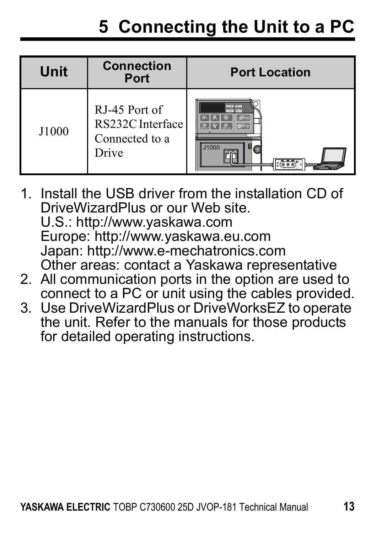## **5 Connecting the Unit to a PC**

| Unit  | <b>Connection</b><br>Port                                    | <b>Port Location</b>         |
|-------|--------------------------------------------------------------|------------------------------|
| J1000 | RJ-45 Port of<br>RS232C Interface<br>Connected to a<br>Drive | ALM BOY<br>cary from<br>1000 |

- 1. Install the USB driver from the installation CD of DriveWizardPlus or our Web site. U.S.: http://www.yaskawa.com Europe: http://www.yaskawa.eu.com Japan: http://www.e-mechatronics.com Other areas: contact a Yaskawa representative
- 2. All communication ports in the option are used to connect to a PC or unit using the cables provided.
- 3. Use DriveWizardPlus or DriveWorksEZ to operate the unit. Refer to the manuals for those products for detailed operating instructions.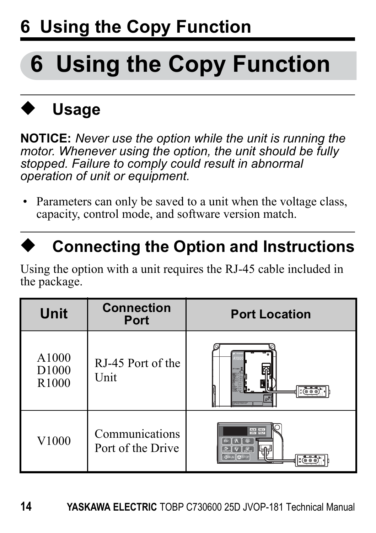# <span id="page-13-0"></span>◆ **Usage**

**NOTICE:** *Never use the option while the unit is running the motor. Whenever using the option, the unit should be fully stopped. Failure to comply could result in abnormal operation of unit or equipment.*

• Parameters can only be saved to a unit when the voltage class capacity, control mode, and software version match.

### **Connecting the Option and Instructions**

Using the option with a unit requires the RJ-45 cable included in the package.

| Unit                                | <b>Connection</b><br>Port           | <b>Port Location</b> |
|-------------------------------------|-------------------------------------|----------------------|
| A1000<br>D <sub>1000</sub><br>R1000 | RJ-45 Port of the<br>Unit           |                      |
| V1000                               | Communications<br>Port of the Drive | <b>COLOR</b>         |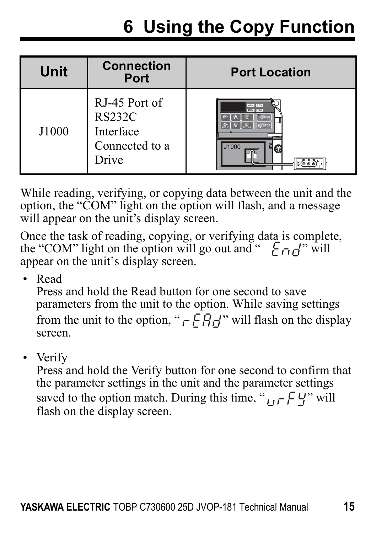| Unit  | <b>Connection</b><br>Port                                              | <b>Port Location</b>            |
|-------|------------------------------------------------------------------------|---------------------------------|
| J1000 | RJ-45 Port of<br><b>RS232C</b><br>Interface<br>Connected to a<br>Drive | ALM   REV<br>cay Legal<br>J1000 |

While reading, verifying, or conving data between the unit and the option, the "COM" light on the option will flash, and a message will appear on the unit's display screen.

Once the task of reading, copying, or verifying data is complete, the "COM" light on the option will go out and "  $F_{\Box}f''$  will appear on the unit's display screen.

• Read

Press and hold the Read button for one second to save parameters from the unit to the option. While saving settings from the unit to the option, " $\overline{F} \overline{H}$ " will flash on the display screen.

• Verify

Press and hold the Verify button for one second to confirm that the parameter settings in the unit and the parameter settings saved to the option match. During this time, " $_{\text{U}}$   $\in$  4" will flash on the display screen.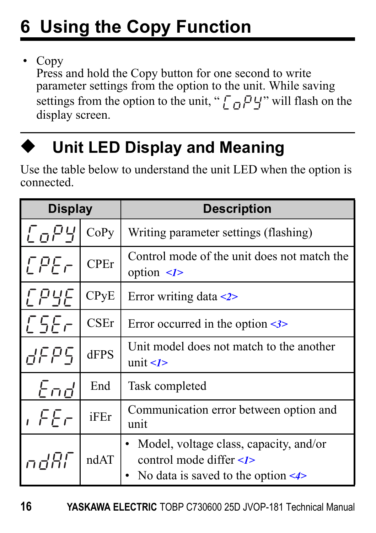• Copy

Press and hold the Copy button for one second to write parameter settings from the option to the unit. While saving settings from the option to the unit, " $\int_{\Omega} P Y$ " will flash on the display screen.



### **Unit LED Display and Meaning**

Use the table below to understand the unit LED when the option is connected.

<span id="page-15-0"></span>

| <b>Display</b> |             | <b>Description</b>                                                                                              |
|----------------|-------------|-----------------------------------------------------------------------------------------------------------------|
| <i>CoPY</i>    | CoPy        | Writing parameter settings (flashing)                                                                           |
| <b>EPEr</b>    | <b>CPEr</b> | Control mode of the unit does not match the<br>option $\leq l$                                                  |
| <i>EPYE</i>    | CPyE        | Error writing data $\leq 2$                                                                                     |
| E5Er           | <b>CSEr</b> | Error occurred in the option $\leq$                                                                             |
| 8 AF P         | dFPS        | Unit model does not match to the another<br>unit $\leq l$                                                       |
| End            | End         | Task completed                                                                                                  |
| ı FEr          | iFEr        | Communication error between option and<br>unit                                                                  |
| ndfil          | ndAT        | Model, voltage class, capacity, and/or<br>control mode differ $\leq I$<br>No data is saved to the option $\leq$ |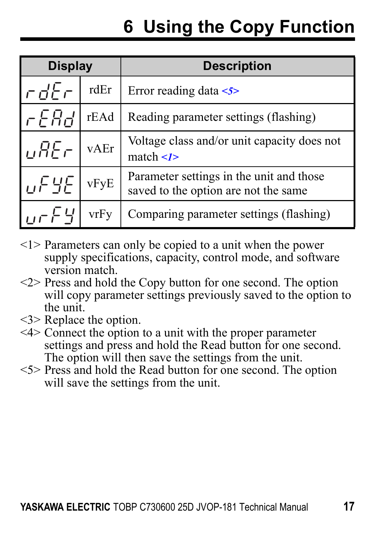| <b>Display</b>  |      | <b>Description</b>                                                               |
|-----------------|------|----------------------------------------------------------------------------------|
| $rdE\tau$       | rdEr | Error reading data $\lt$ 5>                                                      |
| rEAd.           | rEAd | Reading parameter settings (flashing)                                            |
| <b>UREr</b>     | vAEr | Voltage class and/or unit capacity does not<br>match $\leq I$                    |
| $U$ $F$ $H$ $E$ | vFyE | Parameter settings in the unit and those<br>saved to the option are not the same |
| urFY            | vrFv | Comparing parameter settings (flashing)                                          |

- <1> Parameters can only be copied to a unit when the power supply specifications, capacity, control mode, and software version match.
- <2> Press and hold the Copy button for one second. The option will copy parameter settings previously saved to the option to the unit.
- <3> Replace the option.
- <4> Connect the option to a unit with the proper parameter settings and press and hold the Read button for one second. The option will then save the settings from the unit.
- $\leq$  Press and hold the Read button for one second. The option will save the settings from the unit.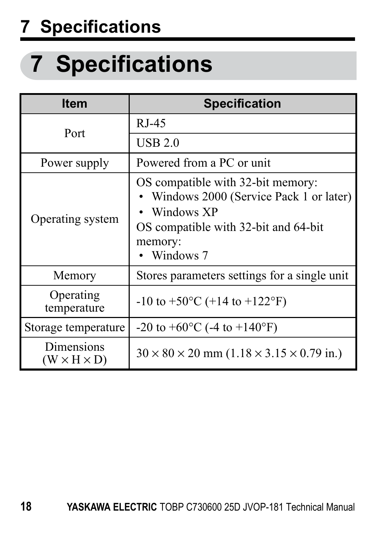## **7 Specifications**

# <span id="page-17-0"></span>**7 Specifications**

| Item                                  | <b>Specification</b>                                                                                                                                            |
|---------------------------------------|-----------------------------------------------------------------------------------------------------------------------------------------------------------------|
| Port                                  | RJ-45                                                                                                                                                           |
|                                       | UBB2.0                                                                                                                                                          |
| Power supply                          | Powered from a PC or unit                                                                                                                                       |
| Operating system                      | OS compatible with 32-bit memory:<br>• Windows 2000 (Service Pack 1 or later)<br>• Windows XP<br>OS compatible with 32-bit and 64-bit<br>memory:<br>• Windows 7 |
| Memory                                | Stores parameters settings for a single unit                                                                                                                    |
| Operating<br>temperature              | $-10$ to $+50^{\circ}$ C ( $+14$ to $+122^{\circ}$ F)                                                                                                           |
| Storage temperature                   | $-20$ to $+60^{\circ}$ C (-4 to $+140^{\circ}$ F)                                                                                                               |
| Dimensions<br>$(W \times H \times D)$ | $30 \times 80 \times 20$ mm $(1.18 \times 3.15 \times 0.79$ in.)                                                                                                |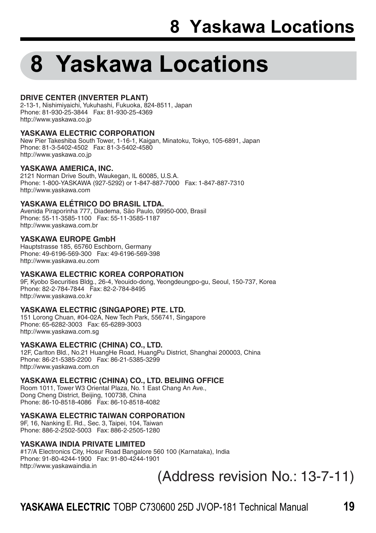# <span id="page-18-0"></span>**8 Yaskawa Locations**

#### **DRIVE CENTER (INVERTER PLANT)**

2-13-1, Nishimiyaichi, Yukuhashi, Fukuoka, 824-8511, Japan Phone: 81-930-25-3844 Fax: 81-930-25-4369 http://www.yaskawa.co.jp

#### **YASKAWA ELECTRIC CORPORATION**

New Pier Takeshiba South Tower, 1-16-1, Kaigan, Minatoku, Tokyo, 105-6891, Japan Phone: 81-3-5402-4502 Fax: 81-3-5402-4580 http://www.yaskawa.co.jp

#### **YASKAWA AMERICA, INC.**

2121 Norman Drive South, Waukegan, IL 60085, U.S.A. Phone: 1-800-YASKAWA (927-5292) or 1-847-887-7000 Fax: 1-847-887-7310 http://www.yaskawa.com

#### **YASKAWA ELÉTRICO DO BRASIL LTDA.**

Avenida Piraporinha 777, Diadema, São Paulo, 09950-000, Brasil Phone: 55-11-3585-1100 Fax: 55-11-3585-1187 http://www.yaskawa.com.br

#### **YASKAWA EUROPE GmbH**

Hauptstrasse 185, 65760 Eschborn, Germany Phone: 49-6196-569-300 Fax: 49-6196-569-398 http://www.yaskawa.eu.com

#### **YASKAWA ELECTRIC KOREA CORPORATION**

9F, Kyobo Securities Bldg., 26-4, Yeouido-dong, Yeongdeungpo-gu, Seoul, 150-737, Korea Phone: 82-2-784-7844 Fax: 82-2-784-8495 http://www.yaskawa.co.kr

#### **YASKAWA ELECTRIC (SINGAPORE) PTE. LTD.**

151 Lorong Chuan, #04-02A, New Tech Park, 556741, Singapore Phone: 65-6282-3003 Fax: 65-6289-3003 http://www.yaskawa.com.sg

#### **YASKAWA ELECTRIC (CHINA) CO., LTD.**

12F, Carlton Bld., No.21 HuangHe Road, HuangPu District, Shanghai 200003, China Phone: 86-21-5385-2200 Fax: 86-21-5385-3299 http://www.yaskawa.com.cn

#### **YASKAWA ELECTRIC (CHINA) CO., LTD. BEIJING OFFICE**

Room 1011, Tower W3 Oriental Plaza, No. 1 East Chang An Ave., Dong Cheng District, Beijing, 100738, China Phone: 86-10-8518-4086 Fax: 86-10-8518-4082

#### **YASKAWA ELECTRIC TAIWAN CORPORATION**

9F, 16, Nanking E. Rd., Sec. 3, Taipei, 104, Taiwan Phone: 886-2-2502-5003 Fax: 886-2-2505-1280

#### **YASKAWA INDIA PRIVATE LIMITED**

#17/A Electronics City, Hosur Road Bangalore 560 100 (Karnataka), India Phone: 91-80-4244-1900 Fax: 91-80-4244-1901 http://www.yaskawaindia.in

(Address revision No.: 13-7-11)

### **YASKAWA ELECTRIC** TOBP C730600 25D JVOP-181 Technical Manual **19**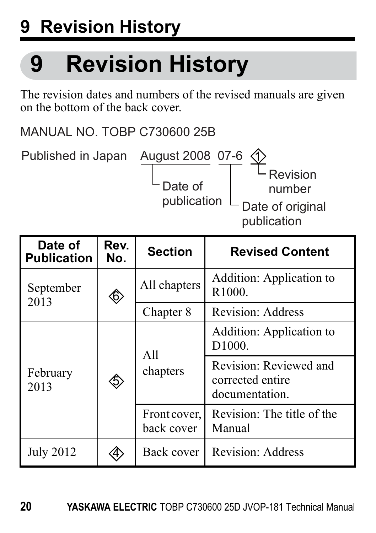# **9 Revision History**

# <span id="page-19-0"></span>**9 Revision History**

The revision dates and numbers of the revised manuals are given on the bottom of the back cover.

MANUAL NO. TOBP C730600 25B

Published in Japan August 2008 07-6

Date of<br>publication

Date of original publication Revision number 1

| Date of<br><b>Publication</b> | Rev.<br>No. | <b>Section</b>             | <b>Revised Content</b>                                       |
|-------------------------------|-------------|----------------------------|--------------------------------------------------------------|
| September<br>2013             | ◈           | All chapters               | Addition: Application to<br>R <sub>1000</sub>                |
|                               |             | Chapter 8                  | <b>Revision: Address</b>                                     |
| February<br>2013              | \$          | All<br>chapters            | Addition: Application to<br>D1000                            |
|                               |             |                            | Revision: Reviewed and<br>corrected entire<br>documentation. |
|                               |             | Front cover,<br>back cover | Revision: The title of the<br>Manual                         |
| July 2012                     |             | Back cover                 | Revision: Address                                            |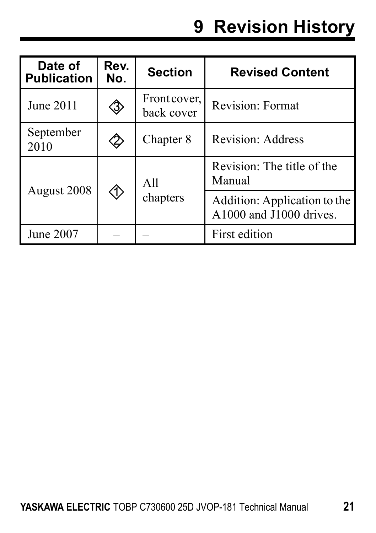## **9 Revision History**

| Date of<br><b>Publication</b> | Rev.<br>No. | <b>Section</b>             | <b>Revised Content</b>                                  |
|-------------------------------|-------------|----------------------------|---------------------------------------------------------|
| June 2011                     | 3           | Front cover,<br>back cover | Revision: Format                                        |
| September<br>2010             |             | Chapter 8                  | <b>Revision: Address</b>                                |
| August 2008                   |             | All<br>chapters            | Revision: The title of the<br>Manual                    |
|                               |             |                            | Addition: Application to the<br>A1000 and J1000 drives. |
| June 2007                     |             |                            | First edition                                           |